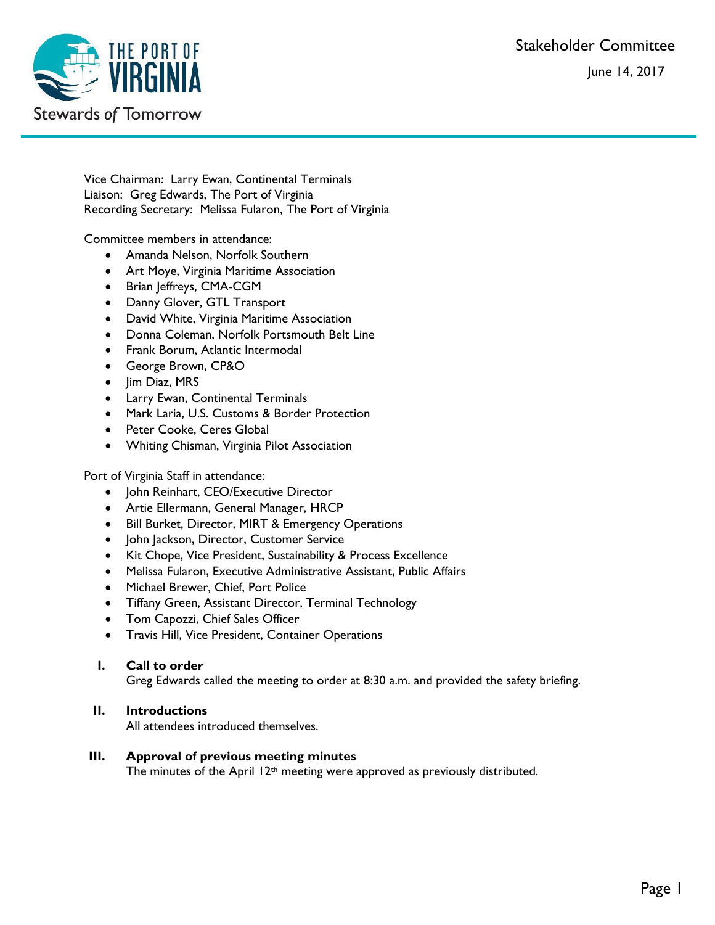Stakeholder Committee

June 14, 2017



Vice Chairman: Larry Ewan, Continental Terminals Liaison: Greg Edwards, The Port of Virginia Recording Secretary: Melissa Fularon, The Port of Virginia

Committee members in attendance:

- Amanda Nelson, Norfolk Southern
- Art Moye, Virginia Maritime Association
- Brian Jeffreys, CMA-CGM
- Danny Glover, GTL Transport
- David White, Virginia Maritime Association
- Donna Coleman, Norfolk Portsmouth Belt Line
- Frank Borum, Atlantic Intermodal
- George Brown, CP&O
- Jim Diaz, MRS
- Larry Ewan, Continental Terminals
- Mark Laria, U.S. Customs & Border Protection
- Peter Cooke, Ceres Global
- Whiting Chisman, Virginia Pilot Association

Port of Virginia Staff in attendance:

- John Reinhart, CEO/Executive Director
- Artie Ellermann, General Manager, HRCP
- Bill Burket, Director, MIRT & Emergency Operations
- John Jackson, Director, Customer Service
- Kit Chope, Vice President, Sustainability & Process Excellence
- Melissa Fularon, Executive Administrative Assistant, Public Affairs
- Michael Brewer, Chief, Port Police
- Tiffany Green, Assistant Director, Terminal Technology
- Tom Capozzi, Chief Sales Officer
- Travis Hill, Vice President, Container Operations

### **I. Call to order**

Greg Edwards called the meeting to order at 8:30 a.m. and provided the safety briefing.

# **II. Introductions**

All attendees introduced themselves.

### **III. Approval of previous meeting minutes**

The minutes of the April  $12<sup>th</sup>$  meeting were approved as previously distributed.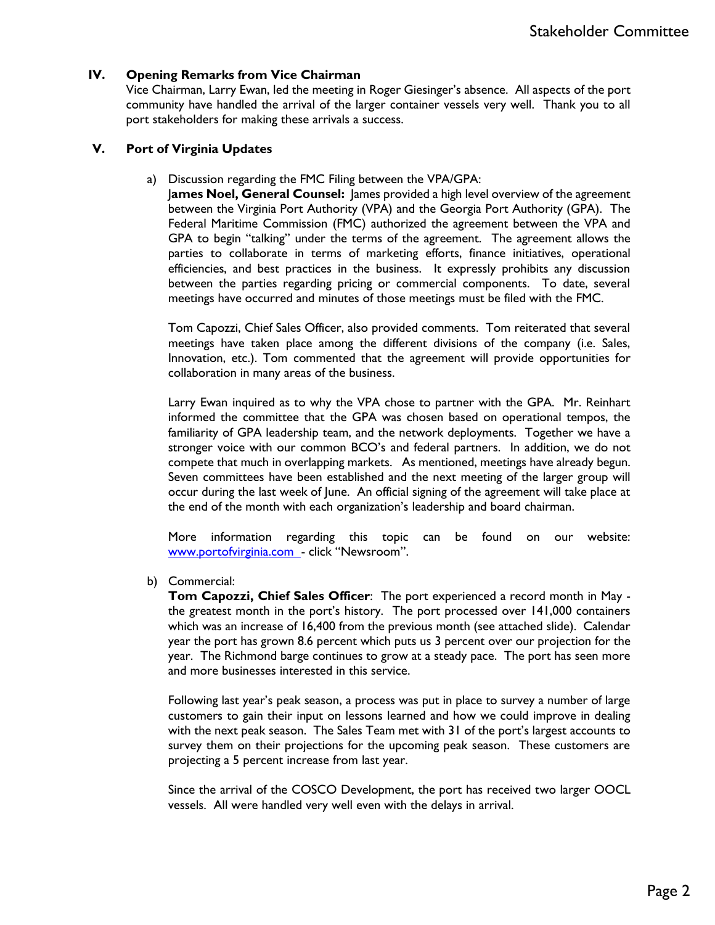## **IV. Opening Remarks from Vice Chairman**

Vice Chairman, Larry Ewan, led the meeting in Roger Giesinger's absence. All aspects of the port community have handled the arrival of the larger container vessels very well. Thank you to all port stakeholders for making these arrivals a success.

### **V. Port of Virginia Updates**

a) Discussion regarding the FMC Filing between the VPA/GPA:

J**ames Noel, General Counsel:** James provided a high level overview of the agreement between the Virginia Port Authority (VPA) and the Georgia Port Authority (GPA). The Federal Maritime Commission (FMC) authorized the agreement between the VPA and GPA to begin "talking" under the terms of the agreement. The agreement allows the parties to collaborate in terms of marketing efforts, finance initiatives, operational efficiencies, and best practices in the business. It expressly prohibits any discussion between the parties regarding pricing or commercial components. To date, several meetings have occurred and minutes of those meetings must be filed with the FMC.

Tom Capozzi, Chief Sales Officer, also provided comments. Tom reiterated that several meetings have taken place among the different divisions of the company (i.e. Sales, Innovation, etc.). Tom commented that the agreement will provide opportunities for collaboration in many areas of the business.

Larry Ewan inquired as to why the VPA chose to partner with the GPA. Mr. Reinhart informed the committee that the GPA was chosen based on operational tempos, the familiarity of GPA leadership team, and the network deployments. Together we have a stronger voice with our common BCO's and federal partners. In addition, we do not compete that much in overlapping markets. As mentioned, meetings have already begun. Seven committees have been established and the next meeting of the larger group will occur during the last week of June. An official signing of the agreement will take place at the end of the month with each organization's leadership and board chairman.

More information regarding this topic can be found on our website: [www.portofvirginia.com](http://www.portofvirginia.com/) - click "Newsroom".

b) Commercial:

**Tom Capozzi, Chief Sales Officer**: The port experienced a record month in May the greatest month in the port's history. The port processed over 141,000 containers which was an increase of 16,400 from the previous month (see attached slide). Calendar year the port has grown 8.6 percent which puts us 3 percent over our projection for the year. The Richmond barge continues to grow at a steady pace. The port has seen more and more businesses interested in this service.

Following last year's peak season, a process was put in place to survey a number of large customers to gain their input on lessons learned and how we could improve in dealing with the next peak season. The Sales Team met with 31 of the port's largest accounts to survey them on their projections for the upcoming peak season. These customers are projecting a 5 percent increase from last year.

Since the arrival of the COSCO Development, the port has received two larger OOCL vessels. All were handled very well even with the delays in arrival.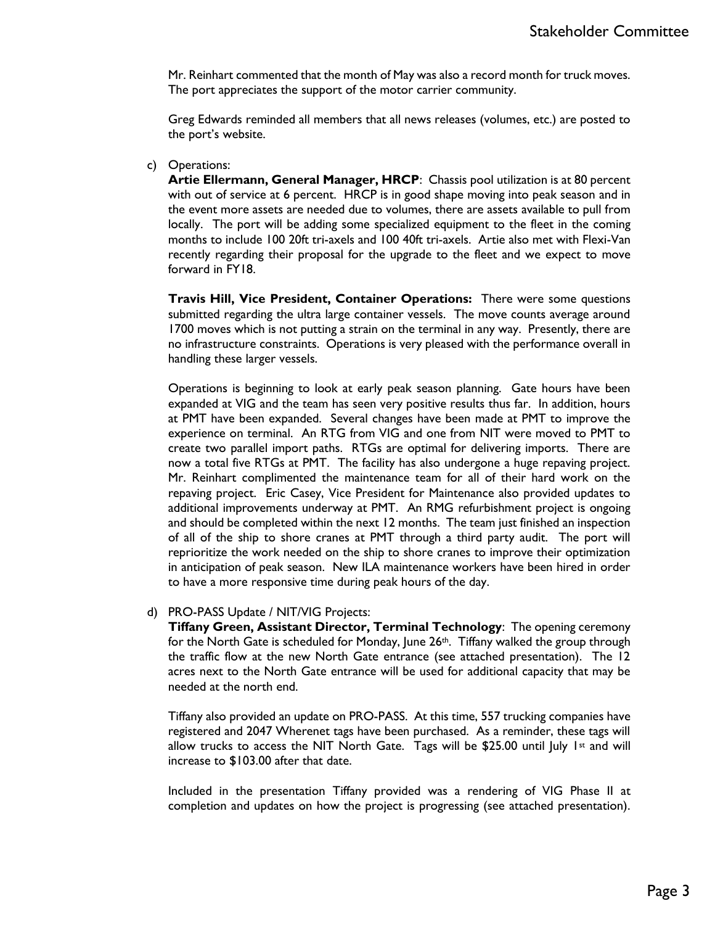Mr. Reinhart commented that the month of May was also a record month for truck moves. The port appreciates the support of the motor carrier community.

Greg Edwards reminded all members that all news releases (volumes, etc.) are posted to the port's website.

#### c) Operations:

**Artie Ellermann, General Manager, HRCP**: Chassis pool utilization is at 80 percent with out of service at 6 percent. HRCP is in good shape moving into peak season and in the event more assets are needed due to volumes, there are assets available to pull from locally. The port will be adding some specialized equipment to the fleet in the coming months to include 100 20ft tri-axels and 100 40ft tri-axels. Artie also met with Flexi-Van recently regarding their proposal for the upgrade to the fleet and we expect to move forward in FY18.

**Travis Hill, Vice President, Container Operations:** There were some questions submitted regarding the ultra large container vessels. The move counts average around 1700 moves which is not putting a strain on the terminal in any way. Presently, there are no infrastructure constraints. Operations is very pleased with the performance overall in handling these larger vessels.

Operations is beginning to look at early peak season planning. Gate hours have been expanded at VIG and the team has seen very positive results thus far. In addition, hours at PMT have been expanded. Several changes have been made at PMT to improve the experience on terminal. An RTG from VIG and one from NIT were moved to PMT to create two parallel import paths. RTGs are optimal for delivering imports. There are now a total five RTGs at PMT. The facility has also undergone a huge repaving project. Mr. Reinhart complimented the maintenance team for all of their hard work on the repaving project. Eric Casey, Vice President for Maintenance also provided updates to additional improvements underway at PMT. An RMG refurbishment project is ongoing and should be completed within the next 12 months. The team just finished an inspection of all of the ship to shore cranes at PMT through a third party audit. The port will reprioritize the work needed on the ship to shore cranes to improve their optimization in anticipation of peak season. New ILA maintenance workers have been hired in order to have a more responsive time during peak hours of the day.

### d) PRO-PASS Update / NIT/VIG Projects:

**Tiffany Green, Assistant Director, Terminal Technology**: The opening ceremony for the North Gate is scheduled for Monday, June 26<sup>th</sup>. Tiffany walked the group through the traffic flow at the new North Gate entrance (see attached presentation). The 12 acres next to the North Gate entrance will be used for additional capacity that may be needed at the north end.

Tiffany also provided an update on PRO-PASS. At this time, 557 trucking companies have registered and 2047 Wherenet tags have been purchased. As a reminder, these tags will allow trucks to access the NIT North Gate. Tags will be \$25.00 until July 1st and will increase to \$103.00 after that date.

Included in the presentation Tiffany provided was a rendering of VIG Phase II at completion and updates on how the project is progressing (see attached presentation).